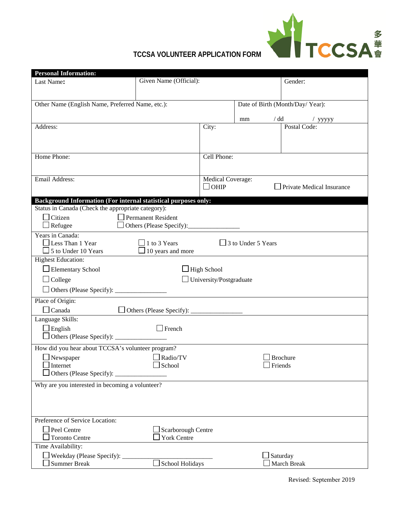

| <b>Personal Information:</b>                                    |                          |                                |                           |                                  |
|-----------------------------------------------------------------|--------------------------|--------------------------------|---------------------------|----------------------------------|
| Last Name:                                                      | Given Name (Official):   |                                |                           | Gender:                          |
|                                                                 |                          |                                |                           |                                  |
| Other Name (English Name, Preferred Name, etc.):                |                          |                                |                           | Date of Birth (Month/Day/ Year): |
|                                                                 |                          |                                |                           |                                  |
|                                                                 |                          |                                | mm                        | / dd / yyyyy                     |
| Address:                                                        |                          | City:                          |                           |                                  |
|                                                                 |                          |                                |                           |                                  |
|                                                                 |                          |                                |                           |                                  |
| Home Phone:                                                     |                          | Cell Phone:                    |                           |                                  |
|                                                                 |                          |                                |                           |                                  |
| Email Address:                                                  |                          | Medical Coverage:              |                           |                                  |
|                                                                 |                          | $\Box$ OHIP                    |                           | Private Medical Insurance        |
| Background Information (For internal statistical purposes only: |                          |                                |                           |                                  |
| Status in Canada (Check the appropriate category):              |                          |                                |                           |                                  |
| Citizen                                                         | Permanent Resident       |                                |                           |                                  |
| $\Box$ Refugee                                                  | Others (Please Specify): |                                |                           |                                  |
| Years in Canada:                                                |                          |                                |                           |                                  |
| $\Box$ Less Than 1 Year                                         | $\Box$ 1 to 3 Years      |                                | $\Box$ 3 to Under 5 Years |                                  |
| $\Box$ 5 to Under 10 Years                                      | $\Box$ 10 years and more |                                |                           |                                  |
| <b>Highest Education:</b>                                       |                          |                                |                           |                                  |
| Elementary School                                               |                          | $\Box$ High School             |                           |                                  |
| $\Box$ College                                                  |                          | $\Box$ University/Postgraduate |                           |                                  |
|                                                                 |                          |                                |                           |                                  |
| Place of Origin:                                                |                          |                                |                           |                                  |
| $\Box$ Canada                                                   |                          |                                |                           |                                  |
| Language Skills:                                                |                          |                                |                           |                                  |
| $\Box$ English                                                  | $\Box$ French            |                                |                           |                                  |
|                                                                 |                          |                                |                           |                                  |
| How did you hear about TCCSA's volunteer program?               |                          |                                |                           |                                  |
| $\Box$ Newspaper                                                | $\Box$ Radio/TV          |                                |                           | $\Box$ Brochure                  |
| Internet                                                        | $\Box$ School            |                                | $\Box$ Friends            |                                  |
|                                                                 |                          |                                |                           |                                  |
| Why are you interested in becoming a volunteer?                 |                          |                                |                           |                                  |
|                                                                 |                          |                                |                           |                                  |
|                                                                 |                          |                                |                           |                                  |
|                                                                 |                          |                                |                           |                                  |
| Preference of Service Location:                                 |                          |                                |                           |                                  |
| Peel Centre                                                     | Scarborough Centre       |                                |                           |                                  |
| <b>Toronto Centre</b>                                           | <b>York Centre</b>       |                                |                           |                                  |
| Time Availability:                                              |                          |                                |                           |                                  |
| $\Box$ Weekday (Please Specify): $\Box$<br><b>Summer Break</b>  | School Holidays          |                                | Saturday                  | March Break                      |
|                                                                 |                          |                                |                           |                                  |